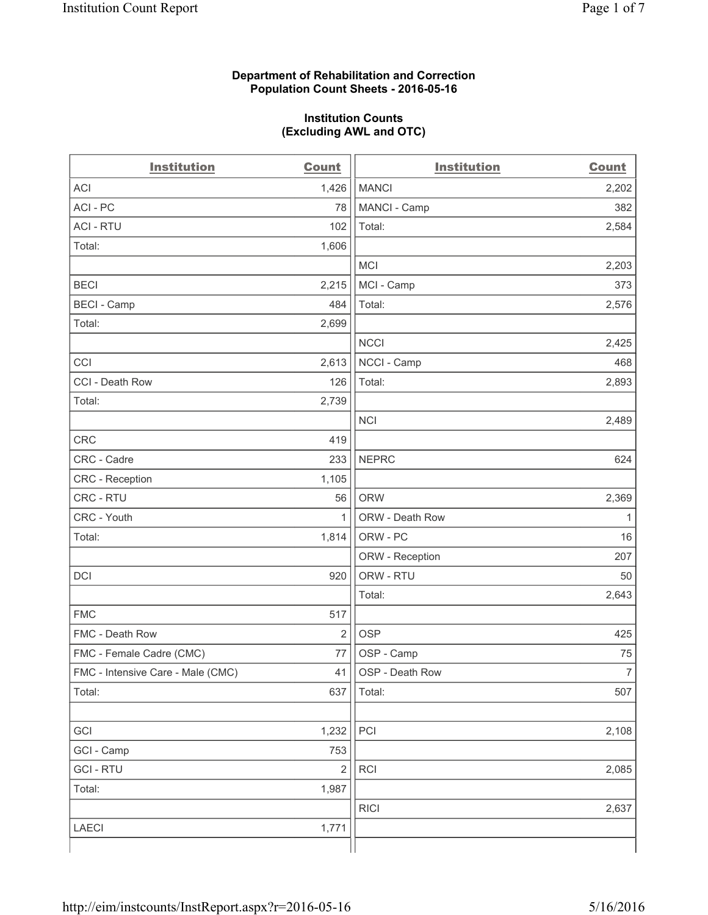#### **Department of Rehabilitation and Correction Population Count Sheets - 2016-05-16**

#### **Institution Counts (Excluding AWL and OTC)**

| <b>Institution</b>                | <b>Count</b>   | <b>Institution</b> | <b>Count</b>   |
|-----------------------------------|----------------|--------------------|----------------|
| <b>ACI</b>                        | 1,426          | <b>MANCI</b>       | 2,202          |
| ACI-PC                            | 78             | MANCI - Camp       | 382            |
| <b>ACI - RTU</b>                  | 102            | Total:             | 2,584          |
| Total:                            | 1,606          |                    |                |
|                                   |                | <b>MCI</b>         | 2,203          |
| <b>BECI</b>                       | 2,215          | MCI - Camp         | 373            |
| <b>BECI</b> - Camp                | 484            | Total:             | 2,576          |
| Total:                            | 2,699          |                    |                |
|                                   |                | <b>NCCI</b>        | 2,425          |
| CCI                               | 2,613          | NCCI - Camp        | 468            |
| CCI - Death Row                   | 126            | Total:             | 2,893          |
| Total:                            | 2,739          |                    |                |
|                                   |                | <b>NCI</b>         | 2,489          |
| <b>CRC</b>                        | 419            |                    |                |
| CRC - Cadre                       | 233            | <b>NEPRC</b>       | 624            |
| CRC - Reception                   | 1,105          |                    |                |
| CRC - RTU                         | 56             | <b>ORW</b>         | 2,369          |
| CRC - Youth                       | 1              | ORW - Death Row    | 1              |
| Total:                            | 1,814          | ORW - PC           | 16             |
|                                   |                | ORW - Reception    | 207            |
| DCI                               | 920            | ORW - RTU          | 50             |
|                                   |                | Total:             | 2,643          |
| <b>FMC</b>                        | 517            |                    |                |
| FMC - Death Row                   | $\overline{2}$ | <b>OSP</b>         | 425            |
| FMC - Female Cadre (CMC)          | 77             | OSP - Camp         | 75             |
| FMC - Intensive Care - Male (CMC) | 41             | OSP - Death Row    | $\overline{7}$ |
| Total:                            | 637            | Total:             | 507            |
|                                   |                |                    |                |
| GCI                               | 1,232          | PCI                | 2,108          |
| GCI - Camp                        | 753            |                    |                |
| <b>GCI - RTU</b>                  | $\sqrt{2}$     | RCI                | 2,085          |
| Total:                            | 1,987          |                    |                |
|                                   |                | <b>RICI</b>        | 2,637          |
| <b>LAECI</b>                      | 1,771          |                    |                |
|                                   |                |                    |                |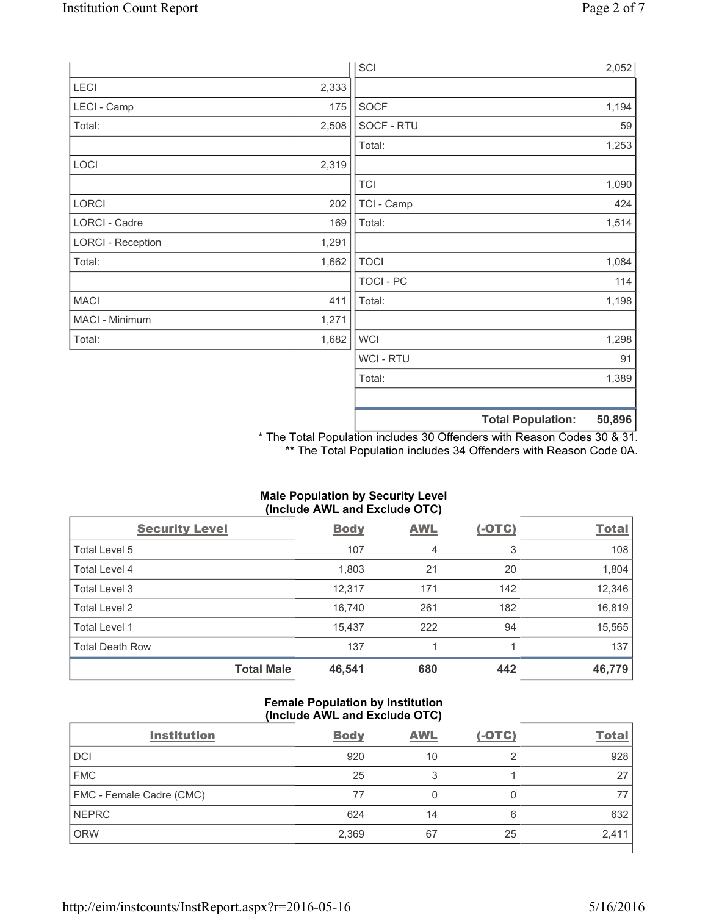|                          |       | SCI            |                          | 2,052  |
|--------------------------|-------|----------------|--------------------------|--------|
| LECI                     | 2,333 |                |                          |        |
| LECI - Camp              | 175   | SOCF           |                          | 1,194  |
| Total:                   | 2,508 | SOCF - RTU     |                          | 59     |
|                          |       | Total:         |                          | 1,253  |
| LOCI                     | 2,319 |                |                          |        |
|                          |       | <b>TCI</b>     |                          | 1,090  |
| LORCI                    | 202   | TCI - Camp     |                          | 424    |
| LORCI - Cadre            | 169   | Total:         |                          | 1,514  |
| <b>LORCI - Reception</b> | 1,291 |                |                          |        |
| Total:                   | 1,662 | <b>TOCI</b>    |                          | 1,084  |
|                          |       | TOCI - PC      |                          | 114    |
| <b>MACI</b>              | 411   | Total:         |                          | 1,198  |
| MACI - Minimum           | 1,271 |                |                          |        |
| Total:                   | 1,682 | <b>WCI</b>     |                          | 1,298  |
|                          |       | <b>WCI-RTU</b> |                          | 91     |
|                          |       | Total:         |                          | 1,389  |
|                          |       |                | <b>Total Population:</b> | 50,896 |

\* The Total Population includes 30 Offenders with Reason Codes 30 & 31. \*\* The Total Population includes 34 Offenders with Reason Code 0A.

| (Include AWL and Exclude OTC) |                   |             |            |          |              |
|-------------------------------|-------------------|-------------|------------|----------|--------------|
| <b>Security Level</b>         |                   | <b>Body</b> | <b>AWL</b> | $(-OTC)$ | <b>Total</b> |
| Total Level 5                 |                   | 107         | 4          | 3        | 108          |
| <b>Total Level 4</b>          |                   | 1,803       | 21         | 20       | 1,804        |
| Total Level 3                 |                   | 12,317      | 171        | 142      | 12,346       |
| <b>Total Level 2</b>          |                   | 16,740      | 261        | 182      | 16,819       |
| Total Level 1                 |                   | 15,437      | 222        | 94       | 15,565       |
| <b>Total Death Row</b>        |                   | 137         |            |          | 137          |
|                               | <b>Total Male</b> | 46,541      | 680        | 442      | 46,779       |

# **Male Population by Security Level**

## **Female Population by Institution (Include AWL and Exclude OTC)**

| <b>Institution</b>       | <b>Body</b> | <b>AWL</b> | $(-OTC)$ | <b>Total</b> |
|--------------------------|-------------|------------|----------|--------------|
| <b>DCI</b>               | 920         | 10         | ◠        | 928          |
| <b>FMC</b>               | 25          | 3          |          | 27           |
| FMC - Female Cadre (CMC) | 77          |            | 0        |              |
| <b>NEPRC</b>             | 624         | 14         | 6        | 632          |
| <b>ORW</b>               | 2,369       | 67         | 25       | 2,411        |
|                          |             |            |          |              |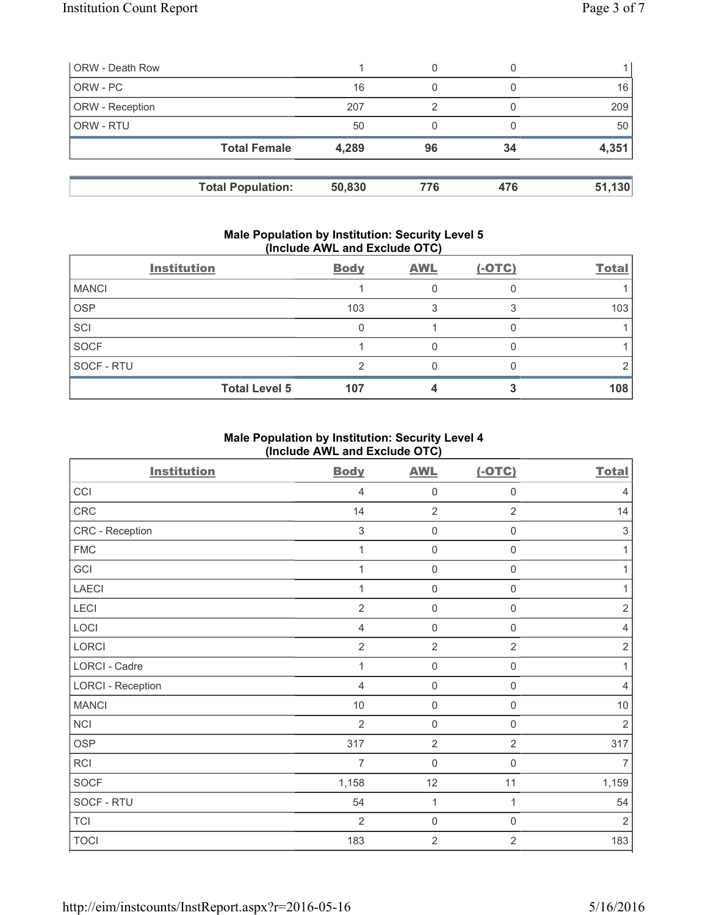| <b>ORW - Death Row</b> |                          |        | 0   |     |        |
|------------------------|--------------------------|--------|-----|-----|--------|
| ORW - PC               |                          | 16     | 0   |     | 16     |
| ORW - Reception        |                          | 207    | 2   |     | 209    |
| ORW - RTU              |                          | 50     | 0   |     | 50     |
|                        | <b>Total Female</b>      | 4,289  | 96  | 34  | 4,351  |
|                        | <b>Total Population:</b> | 50,830 | 776 | 476 | 51,130 |

#### **Male Population by Institution: Security Level 5 (Include AWL and Exclude OTC)**

| <b>Institution</b>   | <b>Body</b> | <b>AWL</b> | $(-OTC)$ | <b>Total</b> |
|----------------------|-------------|------------|----------|--------------|
| <b>MANCI</b>         |             |            |          |              |
| <b>OSP</b>           | 103         |            |          | 103          |
| SCI                  |             |            |          |              |
| <b>SOCF</b>          |             |            |          |              |
| SOCF - RTU           |             |            |          |              |
| <b>Total Level 5</b> | 107         |            |          | 108          |

## **Male Population by Institution: Security Level 4 (Include AWL and Exclude OTC)**

| <b>Institution</b>       | <b>Body</b>               | <b>AWL</b>          | $(-OTC)$            | <b>Total</b>   |
|--------------------------|---------------------------|---------------------|---------------------|----------------|
| CCI                      | $\overline{4}$            | $\mathbf 0$         | $\mathbf 0$         | $\overline{4}$ |
| CRC                      | 14                        | $\overline{2}$      | $\overline{2}$      | 14             |
| CRC - Reception          | $\ensuremath{\mathsf{3}}$ | $\mathsf 0$         | $\mathsf{O}\xspace$ | $\sqrt{3}$     |
| <b>FMC</b>               | 1                         | $\mathbf 0$         | 0                   | 1              |
| GCI                      | 1                         | $\mathbf 0$         | 0                   | 1              |
| <b>LAECI</b>             | 1                         | $\mathbf 0$         | $\mathsf 0$         | $\mathbf{1}$   |
| LECI                     | $\overline{2}$            | $\mathbf 0$         | $\mathsf 0$         | $\overline{2}$ |
| LOCI                     | $\overline{4}$            | $\mathsf{O}\xspace$ | $\mathsf 0$         | $\overline{4}$ |
| LORCI                    | $\overline{2}$            | $\overline{2}$      | $\overline{2}$      | $\overline{2}$ |
| <b>LORCI - Cadre</b>     | 1                         | $\mathbf 0$         | $\mathsf{O}\xspace$ | 1              |
| <b>LORCI - Reception</b> | $\overline{4}$            | $\mathsf{O}\xspace$ | $\mathbf 0$         | $\overline{4}$ |
| <b>MANCI</b>             | 10                        | $\mathbf 0$         | 0                   | $10$           |
| <b>NCI</b>               | $\overline{2}$            | $\mathbf 0$         | $\mathbf 0$         | $\overline{2}$ |
| <b>OSP</b>               | 317                       | $\overline{2}$      | $\overline{2}$      | 317            |
| RCI                      | $\overline{7}$            | $\mathbf 0$         | 0                   | $\overline{7}$ |
| <b>SOCF</b>              | 1,158                     | 12                  | 11                  | 1,159          |
| SOCF - RTU               | 54                        | $\mathbf{1}$        | $\mathbf{1}$        | 54             |
| <b>TCI</b>               | $\overline{2}$            | $\mathsf{O}\xspace$ | $\mathsf{O}\xspace$ | $\overline{2}$ |
| <b>TOCI</b>              | 183                       | $\overline{2}$      | $\overline{2}$      | 183            |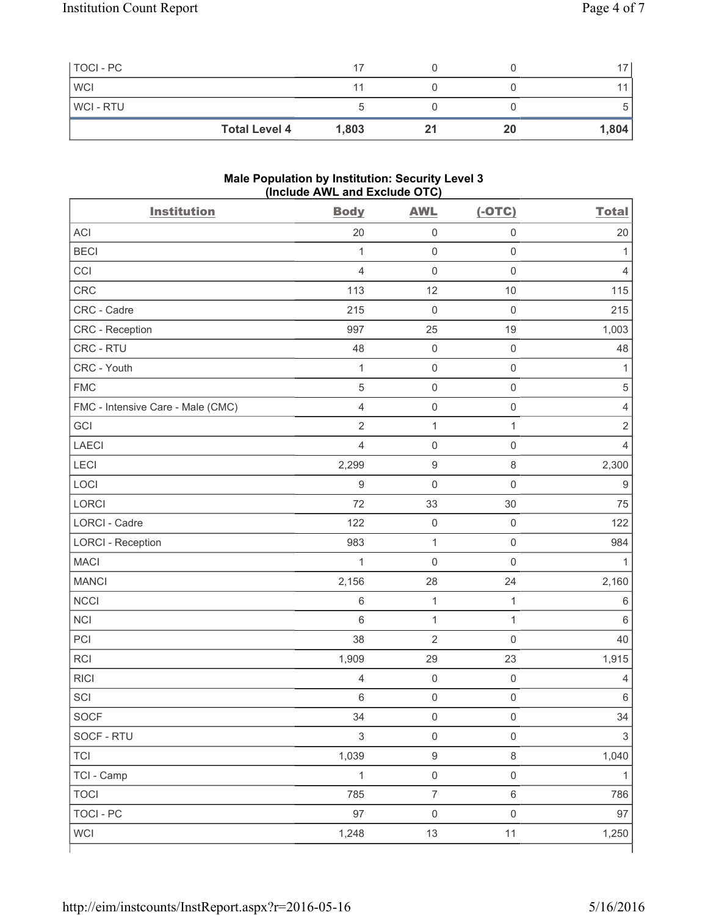| TOCI - PC  |                      | 17    |    | 17    |
|------------|----------------------|-------|----|-------|
| <b>WCI</b> |                      |       |    |       |
| WCI - RTU  |                      |       |    | 5.    |
|            | <b>Total Level 4</b> | 1,803 | 20 | 1,804 |

#### **Male Population by Institution: Security Level 3 (Include AWL and Exclude OTC)**

| <b>Institution</b>                | <b>Body</b>    | <b>AWL</b>          | $(-OTC)$            | <b>Total</b>   |
|-----------------------------------|----------------|---------------------|---------------------|----------------|
| ACI                               | 20             | $\mathsf{O}\xspace$ | $\mathsf 0$         | 20             |
| <b>BECI</b>                       | $\mathbf{1}$   | $\mathsf{O}\xspace$ | $\mathsf 0$         | 1              |
| CCI                               | $\overline{4}$ | $\mathsf{O}\xspace$ | $\mathsf 0$         | $\overline{4}$ |
| CRC                               | 113            | 12                  | $10$                | 115            |
| CRC - Cadre                       | 215            | $\mathbf 0$         | $\mathsf 0$         | 215            |
| CRC - Reception                   | 997            | 25                  | 19                  | 1,003          |
| CRC - RTU                         | 48             | $\mathsf{O}\xspace$ | $\mathsf 0$         | 48             |
| CRC - Youth                       | $\mathbf{1}$   | $\mathsf{O}\xspace$ | $\mathsf 0$         | 1              |
| <b>FMC</b>                        | 5              | $\mathsf{O}\xspace$ | $\mathsf{O}\xspace$ | $\,$ 5 $\,$    |
| FMC - Intensive Care - Male (CMC) | $\overline{4}$ | $\mathsf{O}\xspace$ | $\mathsf 0$         | $\overline{4}$ |
| GCI                               | $\overline{2}$ | $\mathbf 1$         | 1                   | $\mathbf 2$    |
| <b>LAECI</b>                      | $\overline{4}$ | $\mathsf{O}\xspace$ | $\mathsf 0$         | $\overline{4}$ |
| LECI                              | 2,299          | $\boldsymbol{9}$    | $\,8\,$             | 2,300          |
| LOCI                              | 9              | $\mathsf{O}\xspace$ | $\mathbf 0$         | 9              |
| <b>LORCI</b>                      | 72             | 33                  | 30                  | 75             |
| LORCI - Cadre                     | 122            | $\mathsf{O}\xspace$ | $\mathbf 0$         | 122            |
| <b>LORCI - Reception</b>          | 983            | $\mathbf 1$         | $\mathsf 0$         | 984            |
| <b>MACI</b>                       | $\mathbf{1}$   | $\mathsf{O}\xspace$ | $\mathsf{O}\xspace$ | 1              |
| <b>MANCI</b>                      | 2,156          | 28                  | 24                  | 2,160          |
| <b>NCCI</b>                       | 6              | $\mathbf 1$         | $\mathbf{1}$        | $\,6$          |
| <b>NCI</b>                        | 6              | $\mathbf 1$         | $\mathbf{1}$        | 6              |
| PCI                               | 38             | $\overline{2}$      | $\mathsf 0$         | 40             |
| <b>RCI</b>                        | 1,909          | 29                  | 23                  | 1,915          |
| <b>RICI</b>                       | $\overline{4}$ | $\mathbf 0$         | $\mathsf 0$         | 4              |
| SCI                               | 6              | $\mathsf{O}\xspace$ | $\mathsf 0$         | $\,6$          |
| SOCF                              | 34             | $\mathsf{O}\xspace$ | $\mathsf{O}\xspace$ | 34             |
| SOCF - RTU                        | $\mathsf 3$    | $\mathsf 0$         | $\mathsf{O}\xspace$ | $\mathsf 3$    |
| <b>TCI</b>                        | 1,039          | $\boldsymbol{9}$    | $\,8\,$             | 1,040          |
| TCI - Camp                        | $\mathbf{1}$   | $\mathsf{O}\xspace$ | $\mathsf 0$         | 1              |
| <b>TOCI</b>                       | 785            | $\overline{7}$      | $\,6\,$             | 786            |
| <b>TOCI - PC</b>                  | 97             | $\mathsf 0$         | $\mathsf 0$         | 97             |
| <b>WCI</b>                        | 1,248          | 13                  | 11                  | 1,250          |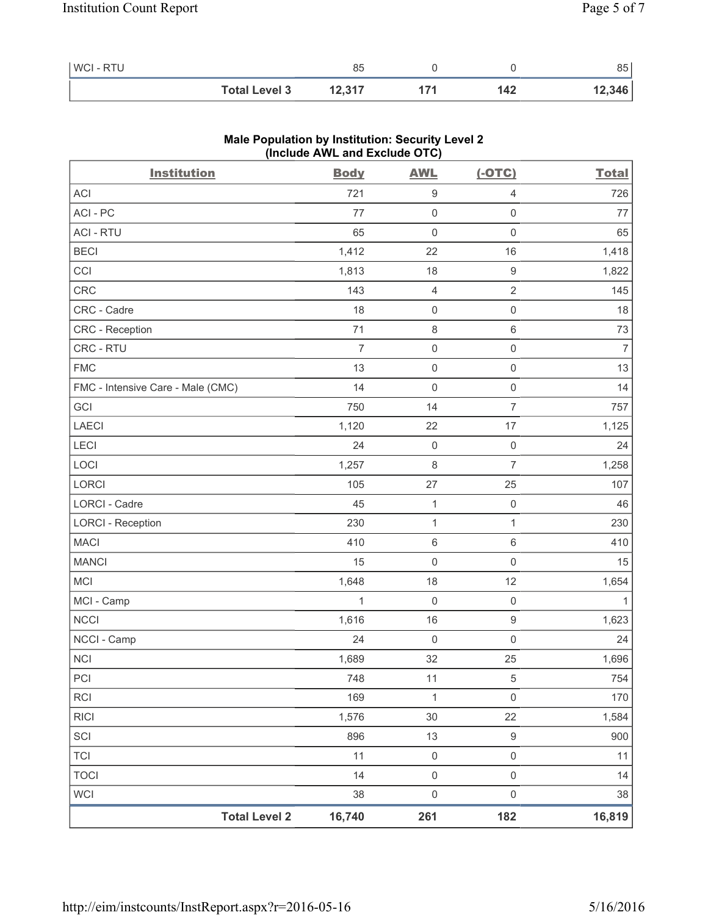| WCI - RTU |                      | 85     |     | 85     |
|-----------|----------------------|--------|-----|--------|
|           | <b>Total Level 3</b> | 12,317 | 142 | 12,346 |

| <b>Institution</b>                | <b>Body</b>    | <b>AWL</b>          | $(-OTC)$            | <b>Total</b>   |
|-----------------------------------|----------------|---------------------|---------------------|----------------|
| ACI                               | 721            | $\boldsymbol{9}$    | $\overline{4}$      | 726            |
| ACI-PC                            | 77             | $\mathsf{O}\xspace$ | $\mathsf 0$         | 77             |
| <b>ACI - RTU</b>                  | 65             | $\mathsf{O}\xspace$ | $\mathsf 0$         | 65             |
| <b>BECI</b>                       | 1,412          | 22                  | 16                  | 1,418          |
| CCI                               | 1,813          | 18                  | $\boldsymbol{9}$    | 1,822          |
| CRC                               | 143            | 4                   | $\sqrt{2}$          | 145            |
| CRC - Cadre                       | 18             | $\mathsf{O}\xspace$ | $\mathsf{O}\xspace$ | 18             |
| CRC - Reception                   | 71             | 8                   | $\,6\,$             | 73             |
| CRC - RTU                         | $\overline{7}$ | $\mathsf{O}\xspace$ | $\mathsf 0$         | $\overline{7}$ |
| <b>FMC</b>                        | 13             | 0                   | $\mathsf{O}\xspace$ | 13             |
| FMC - Intensive Care - Male (CMC) | 14             | $\mathbf 0$         | $\mathsf 0$         | 14             |
| GCI                               | 750            | 14                  | $\overline{7}$      | 757            |
| <b>LAECI</b>                      | 1,120          | 22                  | 17                  | 1,125          |
| LECI                              | 24             | $\mathbf 0$         | $\mathsf{O}\xspace$ | 24             |
| LOCI                              | 1,257          | 8                   | $\overline{7}$      | 1,258          |
| LORCI                             | 105            | 27                  | 25                  | 107            |
| LORCI - Cadre                     | 45             | $\mathbf{1}$        | $\mathsf{O}\xspace$ | 46             |
| <b>LORCI - Reception</b>          | 230            | $\mathbf 1$         | 1                   | 230            |
| <b>MACI</b>                       | 410            | $\,6\,$             | $6\,$               | 410            |
| <b>MANCI</b>                      | 15             | $\mathsf{O}\xspace$ | $\mathsf{O}\xspace$ | 15             |
| MCI                               | 1,648          | 18                  | 12                  | 1,654          |
| MCI - Camp                        | 1              | $\mathsf{O}\xspace$ | $\mathsf 0$         | 1              |
| <b>NCCI</b>                       | 1,616          | 16                  | $\hbox{9}$          | 1,623          |
| NCCI - Camp                       | 24             | $\mathbf 0$         | $\mathsf 0$         | 24             |
| NCI                               | 1,689          | 32                  | 25                  | 1,696          |
| PCI                               | 748            | 11                  | 5                   | 754            |
| RCI                               | 169            | $\mathbf 1$         | $\mathsf{O}\xspace$ | 170            |
| <b>RICI</b>                       | 1,576          | 30                  | 22                  | 1,584          |
| SCI                               | 896            | 13                  | $\hbox{9}$          | 900            |
| <b>TCI</b>                        | 11             | $\mathsf{O}\xspace$ | $\mathsf 0$         | 11             |
| <b>TOCI</b>                       | 14             | $\mathsf{O}\xspace$ | $\mathsf 0$         | 14             |
| <b>WCI</b>                        | 38             | $\mathsf{O}\xspace$ | $\mathsf 0$         | 38             |
| <b>Total Level 2</b>              | 16,740         | 261                 | 182                 | 16,819         |

### **Male Population by Institution: Security Level 2 (Include AWL and Exclude OTC)**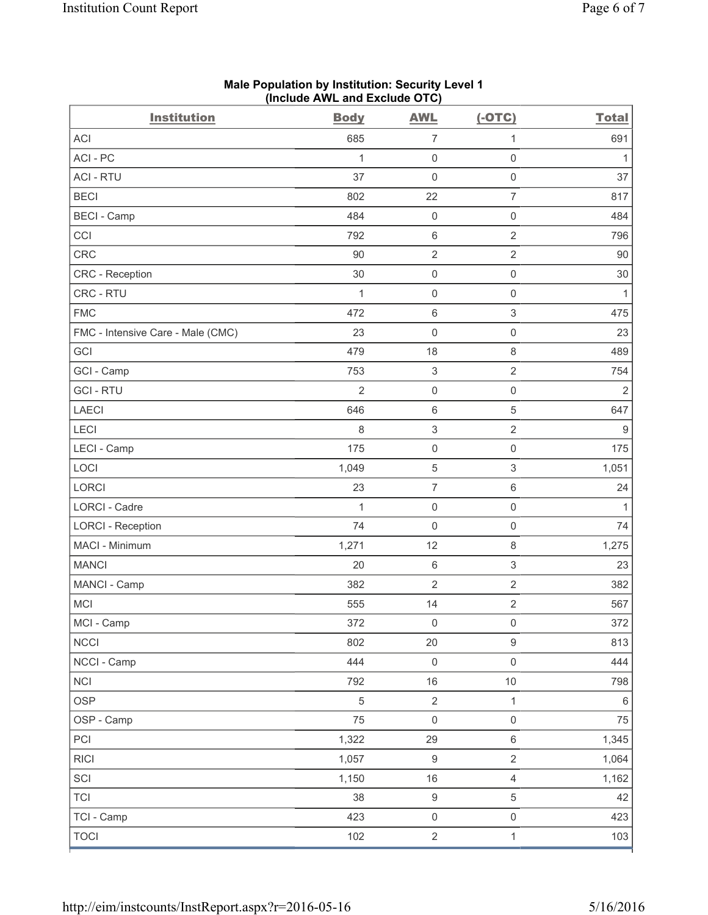| <b>ACI</b><br>685<br>$\overline{7}$<br>691<br>1<br>ACI-PC<br>$\mathsf{O}\xspace$<br>$\mathsf{O}\xspace$<br>1<br>1<br><b>ACI - RTU</b><br>37<br>$\mathbf 0$<br>$\mathsf 0$<br>37<br>$\overline{7}$<br><b>BECI</b><br>22<br>802<br>817<br><b>BECI</b> - Camp<br>$\mathsf{O}\xspace$<br>$\mathsf{O}\xspace$<br>484<br>484<br>CCI<br>$\sqrt{2}$<br>792<br>$\,6\,$<br>796<br>CRC<br>$\overline{2}$<br>$\sqrt{2}$<br>90<br>$90\,$<br>30<br>$\mathsf 0$<br>$\mathsf{O}\xspace$<br>30<br>CRC - Reception<br>CRC - RTU<br>$\mathsf{O}\xspace$<br>$\mathsf{O}\xspace$<br>$\mathbf{1}$<br>1<br>$\ensuremath{\mathsf{3}}$<br><b>FMC</b><br>472<br>$\,6$<br>475<br>$\mathsf{O}\xspace$<br>$\mathsf 0$<br>23<br>FMC - Intensive Care - Male (CMC)<br>23<br>GCI<br>479<br>18<br>$\,8\,$<br>489<br>$\overline{2}$<br>753<br>$\ensuremath{\mathsf{3}}$<br>GCI - Camp<br>754<br><b>GCI-RTU</b><br>$\overline{2}$<br>$\mathsf{O}\xspace$<br>$\mathsf{O}\xspace$<br>2 | <b>Institution</b> | <b>Body</b> | <b>AWL</b> | $(-OTC)$   | <b>Total</b> |
|---------------------------------------------------------------------------------------------------------------------------------------------------------------------------------------------------------------------------------------------------------------------------------------------------------------------------------------------------------------------------------------------------------------------------------------------------------------------------------------------------------------------------------------------------------------------------------------------------------------------------------------------------------------------------------------------------------------------------------------------------------------------------------------------------------------------------------------------------------------------------------------------------------------------------------------------------|--------------------|-------------|------------|------------|--------------|
|                                                                                                                                                                                                                                                                                                                                                                                                                                                                                                                                                                                                                                                                                                                                                                                                                                                                                                                                                   |                    |             |            |            |              |
|                                                                                                                                                                                                                                                                                                                                                                                                                                                                                                                                                                                                                                                                                                                                                                                                                                                                                                                                                   |                    |             |            |            |              |
|                                                                                                                                                                                                                                                                                                                                                                                                                                                                                                                                                                                                                                                                                                                                                                                                                                                                                                                                                   |                    |             |            |            |              |
|                                                                                                                                                                                                                                                                                                                                                                                                                                                                                                                                                                                                                                                                                                                                                                                                                                                                                                                                                   |                    |             |            |            |              |
|                                                                                                                                                                                                                                                                                                                                                                                                                                                                                                                                                                                                                                                                                                                                                                                                                                                                                                                                                   |                    |             |            |            |              |
|                                                                                                                                                                                                                                                                                                                                                                                                                                                                                                                                                                                                                                                                                                                                                                                                                                                                                                                                                   |                    |             |            |            |              |
|                                                                                                                                                                                                                                                                                                                                                                                                                                                                                                                                                                                                                                                                                                                                                                                                                                                                                                                                                   |                    |             |            |            |              |
|                                                                                                                                                                                                                                                                                                                                                                                                                                                                                                                                                                                                                                                                                                                                                                                                                                                                                                                                                   |                    |             |            |            |              |
|                                                                                                                                                                                                                                                                                                                                                                                                                                                                                                                                                                                                                                                                                                                                                                                                                                                                                                                                                   |                    |             |            |            |              |
|                                                                                                                                                                                                                                                                                                                                                                                                                                                                                                                                                                                                                                                                                                                                                                                                                                                                                                                                                   |                    |             |            |            |              |
|                                                                                                                                                                                                                                                                                                                                                                                                                                                                                                                                                                                                                                                                                                                                                                                                                                                                                                                                                   |                    |             |            |            |              |
|                                                                                                                                                                                                                                                                                                                                                                                                                                                                                                                                                                                                                                                                                                                                                                                                                                                                                                                                                   |                    |             |            |            |              |
|                                                                                                                                                                                                                                                                                                                                                                                                                                                                                                                                                                                                                                                                                                                                                                                                                                                                                                                                                   |                    |             |            |            |              |
|                                                                                                                                                                                                                                                                                                                                                                                                                                                                                                                                                                                                                                                                                                                                                                                                                                                                                                                                                   |                    |             |            |            |              |
|                                                                                                                                                                                                                                                                                                                                                                                                                                                                                                                                                                                                                                                                                                                                                                                                                                                                                                                                                   | <b>LAECI</b>       | 646         | $\,6$      | $\sqrt{5}$ | 647          |
| LECI<br>$\,8\,$<br>$\ensuremath{\mathsf{3}}$<br>$\sqrt{2}$<br>$\boldsymbol{9}$                                                                                                                                                                                                                                                                                                                                                                                                                                                                                                                                                                                                                                                                                                                                                                                                                                                                    |                    |             |            |            |              |
| LECI - Camp<br>175<br>$\mathsf{O}\xspace$<br>$\mathsf{O}\xspace$<br>175                                                                                                                                                                                                                                                                                                                                                                                                                                                                                                                                                                                                                                                                                                                                                                                                                                                                           |                    |             |            |            |              |
| $\ensuremath{\mathsf{3}}$<br>LOCI<br>$\sqrt{5}$<br>1,049<br>1,051                                                                                                                                                                                                                                                                                                                                                                                                                                                                                                                                                                                                                                                                                                                                                                                                                                                                                 |                    |             |            |            |              |
| $\overline{7}$<br><b>LORCI</b><br>$\,6\,$<br>23<br>24                                                                                                                                                                                                                                                                                                                                                                                                                                                                                                                                                                                                                                                                                                                                                                                                                                                                                             |                    |             |            |            |              |
| LORCI - Cadre<br>$\mathbf{1}$<br>$\mathsf{O}\xspace$<br>$\mathsf 0$<br>$\mathbf{1}$                                                                                                                                                                                                                                                                                                                                                                                                                                                                                                                                                                                                                                                                                                                                                                                                                                                               |                    |             |            |            |              |
| 74<br>$\mathsf{O}\xspace$<br>$\mathsf 0$<br><b>LORCI - Reception</b><br>74                                                                                                                                                                                                                                                                                                                                                                                                                                                                                                                                                                                                                                                                                                                                                                                                                                                                        |                    |             |            |            |              |
| MACI - Minimum<br>1,271<br>12<br>$\,8\,$<br>1,275                                                                                                                                                                                                                                                                                                                                                                                                                                                                                                                                                                                                                                                                                                                                                                                                                                                                                                 |                    |             |            |            |              |
| $\ensuremath{\mathsf{3}}$<br><b>MANCI</b><br>20<br>$\,6$<br>23                                                                                                                                                                                                                                                                                                                                                                                                                                                                                                                                                                                                                                                                                                                                                                                                                                                                                    |                    |             |            |            |              |
| $\overline{2}$<br>$\overline{2}$<br>MANCI - Camp<br>382<br>382                                                                                                                                                                                                                                                                                                                                                                                                                                                                                                                                                                                                                                                                                                                                                                                                                                                                                    |                    |             |            |            |              |
| <b>MCI</b><br>14<br>$\sqrt{2}$<br>555<br>567                                                                                                                                                                                                                                                                                                                                                                                                                                                                                                                                                                                                                                                                                                                                                                                                                                                                                                      |                    |             |            |            |              |
| MCI - Camp<br>372<br>372<br>$\mathsf{O}\xspace$<br>$\mathsf{O}\xspace$                                                                                                                                                                                                                                                                                                                                                                                                                                                                                                                                                                                                                                                                                                                                                                                                                                                                            |                    |             |            |            |              |
| $\mathsf g$<br><b>NCCI</b><br>802<br>20<br>813                                                                                                                                                                                                                                                                                                                                                                                                                                                                                                                                                                                                                                                                                                                                                                                                                                                                                                    |                    |             |            |            |              |
| NCCI - Camp<br>444<br>$\mathsf{O}\xspace$<br>$\mathsf 0$<br>444                                                                                                                                                                                                                                                                                                                                                                                                                                                                                                                                                                                                                                                                                                                                                                                                                                                                                   |                    |             |            |            |              |
| <b>NCI</b><br>792<br>16<br>$10$<br>798                                                                                                                                                                                                                                                                                                                                                                                                                                                                                                                                                                                                                                                                                                                                                                                                                                                                                                            |                    |             |            |            |              |
| <b>OSP</b><br>$\sqrt{5}$<br>$\overline{2}$<br>$\mathbf{1}$<br>6                                                                                                                                                                                                                                                                                                                                                                                                                                                                                                                                                                                                                                                                                                                                                                                                                                                                                   |                    |             |            |            |              |
| $\mathsf{O}\xspace$<br>75<br>OSP - Camp<br>75<br>$\mathbf 0$                                                                                                                                                                                                                                                                                                                                                                                                                                                                                                                                                                                                                                                                                                                                                                                                                                                                                      |                    |             |            |            |              |
| $\,6\,$<br>PCI<br>1,322<br>29<br>1,345                                                                                                                                                                                                                                                                                                                                                                                                                                                                                                                                                                                                                                                                                                                                                                                                                                                                                                            |                    |             |            |            |              |
| $\overline{2}$<br><b>RICI</b><br>1,057<br>$\boldsymbol{9}$<br>1,064                                                                                                                                                                                                                                                                                                                                                                                                                                                                                                                                                                                                                                                                                                                                                                                                                                                                               |                    |             |            |            |              |
| $\overline{4}$<br>SCI<br>1,150<br>16<br>1,162                                                                                                                                                                                                                                                                                                                                                                                                                                                                                                                                                                                                                                                                                                                                                                                                                                                                                                     |                    |             |            |            |              |
| <b>TCI</b><br>38<br>$\boldsymbol{9}$<br>$\,$ 5 $\,$<br>42                                                                                                                                                                                                                                                                                                                                                                                                                                                                                                                                                                                                                                                                                                                                                                                                                                                                                         |                    |             |            |            |              |
| TCI - Camp<br>423<br>$\mathsf 0$<br>$\mathsf{O}\xspace$<br>423                                                                                                                                                                                                                                                                                                                                                                                                                                                                                                                                                                                                                                                                                                                                                                                                                                                                                    |                    |             |            |            |              |
| $\overline{2}$<br>102<br><b>TOCI</b><br>$\mathbf{1}$<br>103                                                                                                                                                                                                                                                                                                                                                                                                                                                                                                                                                                                                                                                                                                                                                                                                                                                                                       |                    |             |            |            |              |

#### **Male Population by Institution: Security Level 1 (Include AWL and Exclude OTC)**